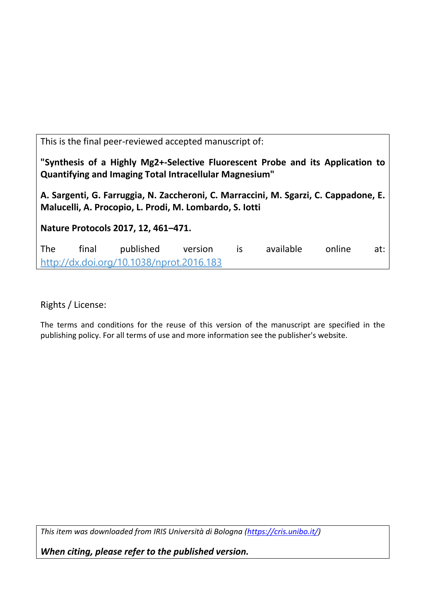This is the final peer-reviewed accepted manuscript of:

**"Synthesis of a Highly Mg2+-Selective Fluorescent Probe and its Application to Quantifying and Imaging Total Intracellular Magnesium"**

**A. Sargenti, G. Farruggia, N. Zaccheroni, C. Marraccini, M. Sgarzi, C. Cappadone, E. Malucelli, A. Procopio, L. Prodi, M. Lombardo, S. Iotti**

**Nature Protocols 2017, 12, 461–471.**

The final published version is available online at: [http://dx.doi.org/10.1038/nprot.2016.183](http://dx.doi.org/10.1038%2Fnprot.2016.183)

Rights / License:

The terms and conditions for the reuse of this version of the manuscript are specified in the publishing policy. For all terms of use and more information see the publisher's website.

*This item was downloaded from IRIS Università di Bologna [\(https://cris.unibo.it/\)](https://cris.unibo.it/)*

*When citing, please refer to the published version.*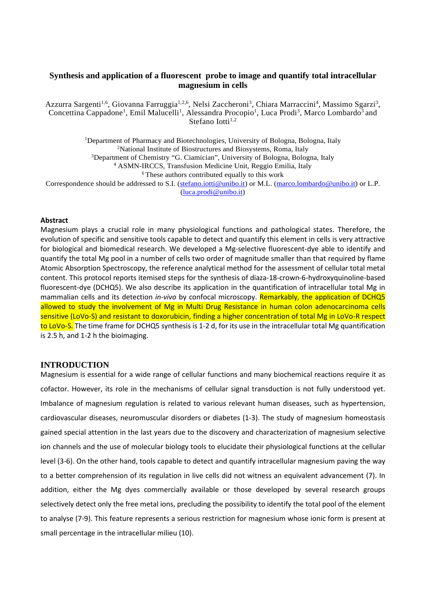## **Synthesis and application of a fluorescent probe to image and quantify total intracellular magnesium in cells**

Azzurra Sargenti<sup>1,6</sup>, Giovanna Farruggia<sup>1,2,6</sup>, Nelsi Zaccheroni<sup>3</sup>, Chiara Marraccini<sup>4</sup>, Massimo Sgarzi<sup>3</sup>, Concettina Cappadone<sup>1</sup>, Emil Malucelli<sup>1</sup>, Alessandra Procopio<sup>1</sup>, Luca Prodi<sup>3</sup>, Marco Lombardo<sup>3</sup> and Stefano Iotti<sup>1,2</sup>

<sup>1</sup>Department of Pharmacy and Biotechnologies, University of Bologna, Bologna, Italy 2 National Institute of Biostructures and Biosystems, Roma, Italy <sup>3</sup>Department of Chemistry "G. Ciamician", University of Bologna, Bologna, Italy <sup>4</sup> ASMN-IRCCS, Transfusion Medicine Unit, Reggio Emilia, Italy 6 These authors contributed equally to this work Correspondence should be addressed to S.I. (stefano.jotti@unibo.it) or M.L. [\(marco.lombardo@unibo.it\)](mailto:marco.lombardo@unibo.it) or L.P. [\(luca.prodi@unibo.it\)](mailto:luca.prodi@unibo.it)

#### **Abstract**

Magnesium plays a crucial role in many physiological functions and pathological states. Therefore, the evolution of specific and sensitive tools capable to detect and quantify this element in cells is very attractive for biological and biomedical research. We developed a Mg-selective fluorescent-dye able to identify and quantify the total Mg pool in a number of cells two order of magnitude smaller than that required by flame Atomic Absorption Spectroscopy, the reference analytical method for the assessment of cellular total metal content. This protocol reports itemised steps for the synthesis of diaza-18-crown-6-hydroxyquinoline-based fluorescent-dye (DCHQ5). We also describe its application in the quantification of intracellular total Mg in mammalian cells and its detection *in-vivo* by confocal microscopy. Remarkably, the application of DCHQ5 allowed to study the involvement of Mg in Multi Drug Resistance in human colon adenocarcinoma cells sensitive (LoVo-S) and resistant to doxorubicin, finding a higher concentration of total Mg in LoVo-R respect to LoVo-S. The time frame for DCHQ5 synthesis is 1-2 d, for its use in the intracellular total Mg quantification is 2.5 h, and 1-2 h the bioimaging.

#### **INTRODUCTION**

Magnesium is essential for a wide range of cellular functions and many biochemical reactions require it as cofactor. However, its role in the mechanisms of cellular signal transduction is not fully understood yet. Imbalance of magnesium regulation is related to various relevant human diseases, such as hypertension, cardiovascular diseases, neuromuscular disorders or diabetes (1-3). The study of magnesium homeostasis gained special attention in the last years due to the discovery and characterization of magnesium selective ion channels and the use of molecular biology tools to elucidate their physiological functions at the cellular level (3-6). On the other hand, tools capable to detect and quantify intracellular magnesium paving the way to a better comprehension of its regulation in live cells did not witness an equivalent advancement (7). In addition, either the Mg dyes commercially available or those developed by several research groups selectively detect only the free metal ions, precluding the possibility to identify the total pool of the element to analyse (7-9). This feature represents a serious restriction for magnesium whose ionic form is present at small percentage in the intracellular milieu (10).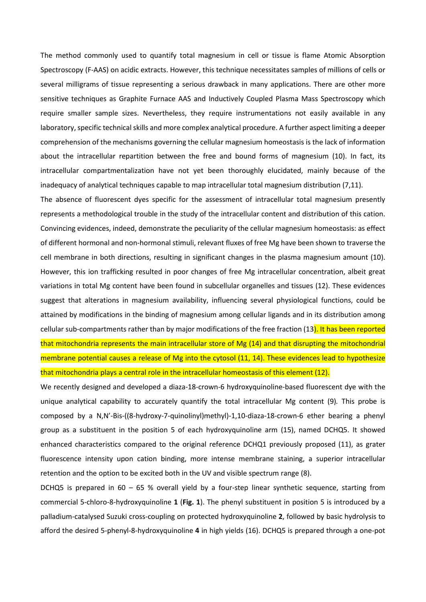The method commonly used to quantify total magnesium in cell or tissue is flame Atomic Absorption Spectroscopy (F-AAS) on acidic extracts. However, this technique necessitates samples of millions of cells or several milligrams of tissue representing a serious drawback in many applications. There are other more sensitive techniques as Graphite Furnace AAS and Inductively Coupled Plasma Mass Spectroscopy which require smaller sample sizes. Nevertheless, they require instrumentations not easily available in any laboratory, specific technical skills and more complex analytical procedure. A further aspect limiting a deeper comprehension of the mechanisms governing the cellular magnesium homeostasis is the lack of information about the intracellular repartition between the free and bound forms of magnesium (10). In fact, its intracellular compartmentalization have not yet been thoroughly elucidated, mainly because of the inadequacy of analytical techniques capable to map intracellular total magnesium distribution (7,11).

The absence of fluorescent dyes specific for the assessment of intracellular total magnesium presently represents a methodological trouble in the study of the intracellular content and distribution of this cation. Convincing evidences, indeed, demonstrate the peculiarity of the cellular magnesium homeostasis: as effect of different hormonal and non-hormonal stimuli, relevant fluxes of free Mg have been shown to traverse the cell membrane in both directions, resulting in significant changes in the plasma magnesium amount (10). However, this ion trafficking resulted in poor changes of free Mg intracellular concentration, albeit great variations in total Mg content have been found in subcellular organelles and tissues (12). These evidences suggest that alterations in magnesium availability, influencing several physiological functions, could be attained by modifications in the binding of magnesium among cellular ligands and in its distribution among cellular sub-compartments rather than by major modifications of the free fraction (13). It has been reported that mitochondria represents the main intracellular store of Mg (14) and that disrupting the mitochondrial membrane potential causes a release of Mg into the cytosol (11, 14). These evidences lead to hypothesize that mitochondria plays a central role in the intracellular homeostasis of this element (12).

We recently designed and developed a diaza-18-crown-6 hydroxyquinoline-based fluorescent dye with the unique analytical capability to accurately quantify the total intracellular Mg content (9)*.* This probe is composed by a N,N'-Bis-((8-hydroxy-7-quinolinyl)methyl)-1,10-diaza-18-crown-6 ether bearing a phenyl group as a substituent in the position 5 of each hydroxyquinoline arm (15), named DCHQ5. It showed enhanced characteristics compared to the original reference DCHQ1 previously proposed (11), as grater fluorescence intensity upon cation binding, more intense membrane staining, a superior intracellular retention and the option to be excited both in the UV and visible spectrum range (8).

DCHQ5 is prepared in 60 – 65 % overall yield by a four-step linear synthetic sequence, starting from commercial 5-chloro-8-hydroxyquinoline **1** (**Fig. 1**). The phenyl substituent in position 5 is introduced by a palladium-catalysed Suzuki cross-coupling on protected hydroxyquinoline **2**, followed by basic hydrolysis to afford the desired 5-phenyl-8-hydroxyquinoline **4** in high yields (16). DCHQ5 is prepared through a one-pot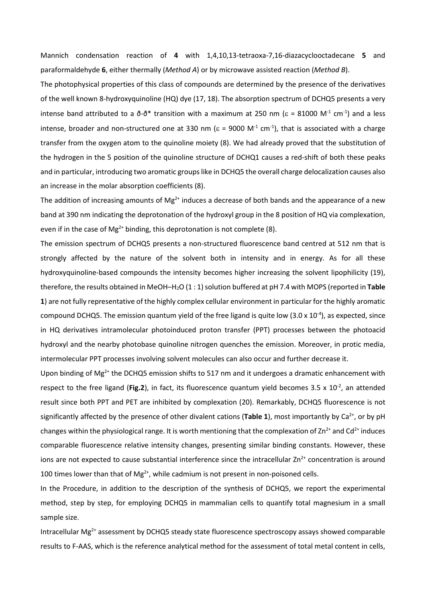Mannich condensation reaction of **4** with 1,4,10,13-tetraoxa-7,16-diazacyclooctadecane **5** and paraformaldehyde **6**, either thermally (*Method A*) or by microwave assisted reaction (*Method B*).

The photophysical properties of this class of compounds are determined by the presence of the derivatives of the well known 8-hydroxyquinoline (HQ) dye (17, 18). The absorption spectrum of DCHQ5 presents a very intense band attributed to a  $\tilde{\sigma}$ - $\tilde{\sigma}^*$  transition with a maximum at 250 nm ( $\epsilon$  = 81000 M<sup>-1</sup> cm<sup>-1</sup>) and a less intense, broader and non-structured one at 330 nm ( $\varepsilon$  = 9000 M<sup>-1</sup> cm<sup>-1</sup>), that is associated with a charge transfer from the oxygen atom to the quinoline moiety (8). We had already proved that the substitution of the hydrogen in the 5 position of the quinoline structure of DCHQ1 causes a red-shift of both these peaks and in particular, introducing two aromatic groups like in DCHQ5 the overall charge delocalization causes also an increase in the molar absorption coefficients (8).

The addition of increasing amounts of Mg<sup>2+</sup> induces a decrease of both bands and the appearance of a new band at 390 nm indicating the deprotonation of the hydroxyl group in the 8 position of HQ via complexation, even if in the case of Mg<sup>2+</sup> binding, this deprotonation is not complete (8).

The emission spectrum of DCHQ5 presents a non-structured fluorescence band centred at 512 nm that is strongly affected by the nature of the solvent both in intensity and in energy. As for all these hydroxyquinoline-based compounds the intensity becomes higher increasing the solvent lipophilicity (19), therefore, the results obtained in MeOH–H2O (1 : 1) solution buffered at pH 7.4 with MOPS (reported in **Table 1**) are not fully representative of the highly complex cellular environment in particular for the highly aromatic compound DCHQ5. The emission quantum yield of the free ligand is quite low (3.0 x  $10^{-4}$ ), as expected, since in HQ derivatives intramolecular photoinduced proton transfer (PPT) processes between the photoacid hydroxyl and the nearby photobase quinoline nitrogen quenches the emission. Moreover, in protic media, intermolecular PPT processes involving solvent molecules can also occur and further decrease it.

Upon binding of  $Mg^{2+}$  the DCHQ5 emission shifts to 517 nm and it undergoes a dramatic enhancement with respect to the free ligand (Fig.2), in fact, its fluorescence quantum yield becomes 3.5 x 10<sup>-2</sup>, an attended result since both PPT and PET are inhibited by complexation (20). Remarkably, DCHQ5 fluorescence is not significantly affected by the presence of other divalent cations (Table 1), most importantly by Ca<sup>2+</sup>, or by pH changes within the physiological range. It is worth mentioning that the complexation of  $Zn^{2+}$  and Cd<sup>2+</sup> induces comparable fluorescence relative intensity changes, presenting similar binding constants. However, these ions are not expected to cause substantial interference since the intracellular  $Zn^{2+}$  concentration is around 100 times lower than that of  $Mg^{2+}$ , while cadmium is not present in non-poisoned cells.

In the Procedure, in addition to the description of the synthesis of DCHQ5, we report the experimental method, step by step, for employing DCHQ5 in mammalian cells to quantify total magnesium in a small sample size.

Intracellular Mg<sup>2+</sup> assessment by DCHQ5 steady state fluorescence spectroscopy assays showed comparable results to F-AAS, which is the reference analytical method for the assessment of total metal content in cells,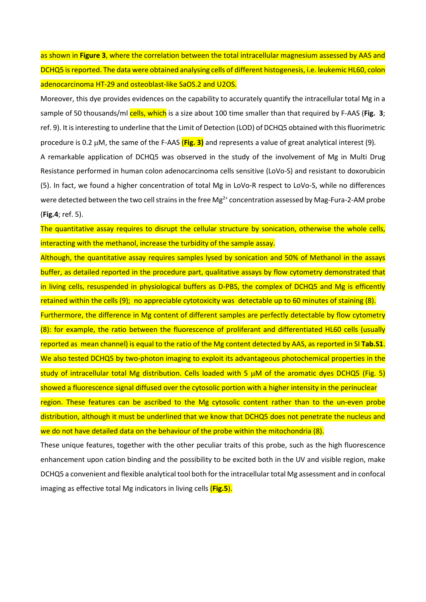as shown in **Figure 3**, where the correlation between the total intracellular magnesium assessed by AAS and DCHQ5 is reported. The data were obtained analysing cells of different histogenesis, i.e. leukemic HL60, colon adenocarcinoma HT-29 and osteoblast-like SaOS.2 and U2OS.

Moreover, this dye provides evidences on the capability to accurately quantify the intracellular total Mg in a sample of 50 thousands/ml cells, which is a size about 100 time smaller than that required by F-AAS (Fig. 3; ref. 9). It is interesting to underline that the Limit of Detection (LOD) of DCHQ5 obtained with this fluorimetric procedure is 0.2 µM, the same of the F-AAS (**Fig. 3)** and represents a value of great analytical interest (9)*.* A remarkable application of DCHQ5 was observed in the study of the involvement of Mg in Multi Drug Resistance performed in human colon adenocarcinoma cells sensitive (LoVo-S) and resistant to doxorubicin (5). In fact, we found a higher concentration of total Mg in LoVo-R respect to LoVo-S, while no differences were detected between the two cell strains in the free  $Mg^{2+}$  concentration assessed by Mag-Fura-2-AM probe (**Fig.4**; ref. 5).

The quantitative assay requires to disrupt the cellular structure by sonication, otherwise the whole cells, interacting with the methanol, increase the turbidity of the sample assay.

Although, the quantitative assay requires samples lysed by sonication and 50% of Methanol in the assays buffer, as detailed reported in the procedure part, qualitative assays by flow cytometry demonstrated that in living cells, resuspended in physiological buffers as D-PBS, the complex of DCHQ5 and Mg is efficently

retained within the cells (9); no appreciable cytotoxicity was detectable up to 60 minutes of staining (8). Furthermore, the difference in Mg content of different samples are perfectly detectable by flow cytometry (8): for example, the ratio between the fluorescence of proliferant and differentiated HL60 cells (usually reported as mean channel) is equal to the ratio of the Mg content detected by AAS, as reported in SI **Tab.S1**. We also tested DCHQ5 by two-photon imaging to exploit its advantageous photochemical properties in the study of intracellular total Mg distribution. Cells loaded with 5 µM of the aromatic dyes DCHQ5 (Fig. 5) showed a fluorescence signal diffused over the cytosolic portion with a higher intensity in the perinuclear region. These features can be ascribed to the Mg cytosolic content rather than to the un-even probe distribution, although it must be underlined that we know that DCHQ5 does not penetrate the nucleus and we do not have detailed data on the behaviour of the probe within the mitochondria (8).

These unique features, together with the other peculiar traits of this probe, such as the high fluorescence enhancement upon cation binding and the possibility to be excited both in the UV and visible region, make DCHQ5 a convenient and flexible analytical tool both for the intracellular total Mg assessment and in confocal imaging as effective total Mg indicators in living cells (**Fig.5**).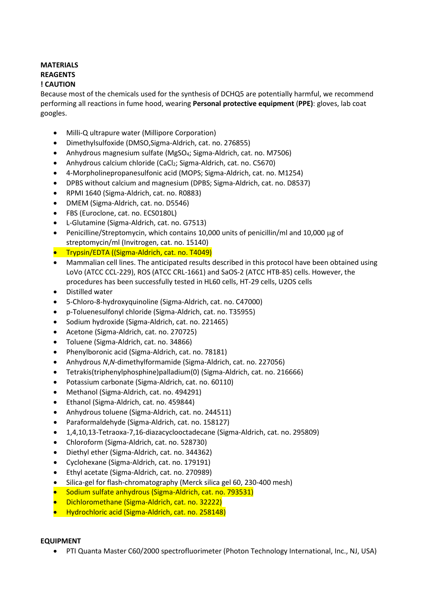# **MATERIALS REAGENTS ! CAUTION**

Because most of the chemicals used for the synthesis of DCHQ5 are potentially harmful, we recommend performing all reactions in fume hood, wearing **Personal protective equipment** (**PPE)**: gloves, lab coat googles.

- Milli-Q ultrapure water (Millipore Corporation)
- Dimethylsulfoxide (DMSO,Sigma-Aldrich, cat. no. 276855)
- Anhydrous magnesium sulfate (MgSO<sub>4</sub>; Sigma-Aldrich, cat. no. M7506)
- Anhydrous calcium chloride (CaCl<sub>2</sub>; Sigma-Aldrich, cat. no. C5670)
- 4-Morpholinepropanesulfonic acid (MOPS; Sigma-Aldrich, cat. no. M1254)
- DPBS without calcium and magnesium (DPBS; Sigma-Aldrich, cat. no. D8537)
- RPMI 1640 (Sigma-Aldrich, cat. no. R0883)
- DMEM (Sigma-Aldrich, cat. no. D5546)
- FBS (Euroclone, cat. no. ECS0180L)
- L-Glutamine (Sigma-Aldrich, cat. no. G7513)
- Penicilline/Streptomycin, which contains 10,000 units of penicillin/ml and 10,000 µg of streptomycin/ml (Invitrogen, cat. no. 15140)
- Trypsin/EDTA ((Sigma-Aldrich, cat. no. [T4049\)](http://www.sigmaaldrich.com/catalog/product/sigma/t4049)
- Mammalian cell lines. The anticipated results described in this protocol have been obtained using LoVo (ATCC CCL-229), ROS (ATCC CRL-1661) and SaOS-2 (ATCC HTB-85) cells. However, the procedures has been successfully tested in HL60 cells, HT-29 cells, U2OS cells
- Distilled water
- 5-Chloro-8-hydroxyquinoline (Sigma-Aldrich, cat. no. C47000)
- p-Toluenesulfonyl chloride (Sigma-Aldrich, cat. no. T35955)
- Sodium hydroxide (Sigma-Aldrich, cat. no. 221465)
- Acetone (Sigma-Aldrich, cat. no. 270725)
- Toluene (Sigma-Aldrich, cat. no. 34866)
- Phenylboronic acid (Sigma-Aldrich, cat. no. 78181)
- Anhydrous *N*,*N*-dimethylformamide (Sigma-Aldrich, cat. no. 227056)
- Tetrakis(triphenylphosphine)palladium(0) (Sigma-Aldrich, cat. no. 216666)
- Potassium carbonate (Sigma-Aldrich, cat. no. 60110)
- Methanol (Sigma-Aldrich, cat. no. 494291)
- Ethanol (Sigma-Aldrich, cat. no. 459844)
- Anhydrous toluene (Sigma-Aldrich, cat. no. 244511)
- Paraformaldehyde (Sigma-Aldrich, cat. no. 158127)
- 1,4,10,13-Tetraoxa-7,16-diazacyclooctadecane (Sigma-Aldrich, cat. no. 295809)
- Chloroform (Sigma-Aldrich, cat. no. 528730)
- Diethyl ether (Sigma-Aldrich, cat. no. 344362)
- Cyclohexane (Sigma-Aldrich, cat. no. 179191)
- Ethyl acetate (Sigma-Aldrich, cat. no. 270989)
- Silica-gel for flash-chromatography (Merck silica gel 60, 230-400 mesh)
- Sodium sulfate anhydrous (Sigma-Aldrich, cat. no. 793531)
- Dichloromethane (Sigma-Aldrich, cat. no. 32222)
- Hydrochloric acid (Sigma-Aldrich, cat. no. 258148)

#### **EQUIPMENT**

• PTI Quanta Master C60/2000 spectrofluorimeter (Photon Technology International, Inc., NJ, USA)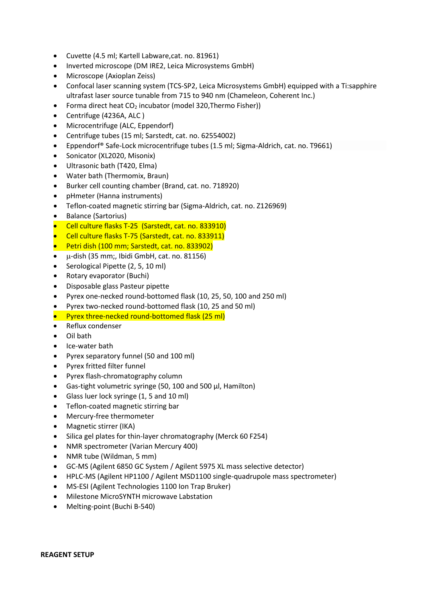- Cuvette (4.5 ml; Kartell Labware,cat. no. 81961)
- Inverted microscope (DM IRE2, Leica Microsystems GmbH)
- Microscope (Axioplan Zeiss)
- Confocal laser scanning system (TCS-SP2, Leica Microsystems GmbH) equipped with a Ti:sapphire ultrafast laser source tunable from 715 to 940 nm (Chameleon, Coherent Inc.)
- Forma direct heat CO<sub>2</sub> incubator (model 320, Thermo Fisher))
- Centrifuge (4236A, ALC )
- Microcentrifuge (ALC, Eppendorf)
- Centrifuge tubes (15 ml; Sarstedt, cat. no. 62554002)
- Eppendorf® Safe-Lock microcentrifuge tubes (1.5 ml; Sigma-Aldrich, cat. no. T9661)
- Sonicator (XL2020, Misonix)
- Ultrasonic bath (T420, Elma)
- Water bath (Thermomix, Braun)
- Burker cell counting chamber (Brand, cat. no. 718920)
- pHmeter (Hanna instruments)
- Teflon-coated magnetic stirring bar (Sigma-Aldrich, cat. no. Z126969)
- Balance (Sartorius)
- Cell culture flasks T-25 (Sarstedt, cat. no. 833910)
- Cell culture flasks T-75 (Sarstedt, cat. no. 833911)
- Petri dish (100 mm; Sarstedt, cat. no. 833902)
- µ-dish (35 mm;, Ibidi GmbH, cat. no. 81156)
- Serological Pipette (2, 5, 10 ml)
- Rotary evaporator (Buchi)
- Disposable glass Pasteur pipette
- Pyrex one-necked round-bottomed flask (10, 25, 50, 100 and 250 ml)
- Pyrex two-necked round-bottomed flask (10, 25 and 50 ml)
- Pyrex three-necked round-bottomed flask (25 ml)
- Reflux condenser
- Oil bath
- Ice-water bath
- Pyrex separatory funnel (50 and 100 ml)
- Pyrex fritted filter funnel
- Pyrex flash-chromatography column
- Gas-tight volumetric syringe (50, 100 and 500 μl, Hamilton)
- Glass luer lock syringe (1, 5 and 10 ml)
- Teflon-coated magnetic stirring bar
- Mercury-free thermometer
- Magnetic stirrer (IKA)
- Silica gel plates for thin-layer chromatography (Merck 60 F254)
- NMR spectrometer (Varian Mercury 400)
- NMR tube (Wildman, 5 mm)
- GC-MS (Agilent 6850 GC System / Agilent 5975 XL mass selective detector)
- HPLC-MS (Agilent HP1100 / Agilent MSD1100 single-quadrupole mass spectrometer)
- MS-ESI (Agilent Technologies 1100 Ion Trap Bruker)
- Milestone MicroSYNTH microwave Labstation
- Melting-point (Buchi B-540)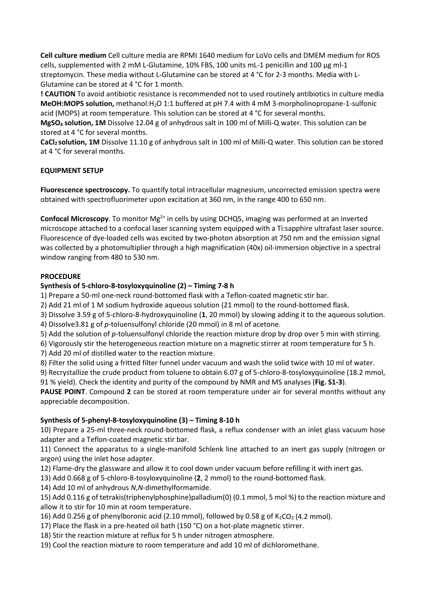**Cell culture medium** Cell culture media are RPMI 1640 medium for LoVo cells and DMEM medium for ROS cells, supplemented with 2 mM L-Glutamine, 10% FBS, 100 units mL-1 penicillin and 100 µg ml-1 streptomycin. These media without L-Glutamine can be stored at 4 °C for 2-3 months. Media with L-Glutamine can be stored at 4 °C for 1 month.

**! CAUTION** To avoid antibiotic resistance is recommended not to used routinely antibiotics in culture media **MeOH:MOPS solution,** methanol:H2O 1:1 buffered at pH 7.4 with 4 mM 3-morpholinopropane-1-sulfonic acid (MOPS) at room temperature. This solution can be stored at 4 °C for several months.

**MgSO4 solution, 1M** Dissolve 12.04 g of anhydrous salt in 100 ml of Milli-Q water. This solution can be stored at 4 °C for several months.

**CaCl2 solution, 1M** Dissolve 11.10 g of anhydrous salt in 100 ml of Milli-Q water. This solution can be stored at 4 °C for several months.

## **EQUIPMENT SETUP**

**Fluorescence spectroscopy.** To quantify total intracellular magnesium, uncorrected emission spectra were obtained with spectrofluorimeter upon excitation at 360 nm, in the range 400 to 650 nm.

**Confocal Microscopy**. To monitor Mg<sup>2+</sup> in cells by using DCHQ5, imaging was performed at an inverted microscope attached to a confocal laser scanning system equipped with a Ti:sapphire ultrafast laser source. Fluorescence of dye-loaded cells was excited by two-photon absorption at 750 nm and the emission signal was collected by a photomultiplier through a high magnification (40x) oil-immersion objective in a spectral window ranging from 480 to 530 nm.

## **PROCEDURE**

## **Synthesis of 5-chloro-8-tosyloxyquinoline (2) – Timing 7-8 h**

1) Prepare a 50-ml one-neck round-bottomed flask with a Teflon-coated magnetic stir bar.

2) Add 21 ml of 1 M sodium hydroxide aqueous solution (21 mmol) to the round-bottomed flask.

3) Dissolve 3.59 g of 5-chloro-8-hydroxyquinoline (**1**, 20 mmol) by slowing adding it to the aqueous solution.

4) Dissolve3.81 g of *p*-toluensulfonyl chloride (20 mmol) in 8 ml of acetone.

5) Add the solution of *p*-toluensulfonyl chloride the reaction mixture drop by drop over 5 min with stirring.

6) Vigorously stir the heterogeneous reaction mixture on a magnetic stirrer at room temperature for 5 h.

7) Add 20 ml of distilled water to the reaction mixture.

8) Filter the solid using a fritted filter funnel under vacuum and wash the solid twice with 10 ml of water.

9) Recrystallize the crude product from toluene to obtain 6.07 g of 5-chloro-8-tosyloxyquinoline (18.2 mmol, 91 % yield). Check the identity and purity of the compound by NMR and MS analyses (**Fig. S1-3**).

**PAUSE POINT**. Compound **2** can be stored at room temperature under air for several months without any appreciable decomposition.

## **Synthesis of 5-phenyl-8-tosyloxyquinoline (3) – Timing 8-10 h**

10) Prepare a 25-ml three-neck round-bottomed flask, a reflux condenser with an inlet glass vacuum hose adapter and a Teflon-coated magnetic stir bar.

11) Connect the apparatus to a single-manifold Schlenk line attached to an inert gas supply (nitrogen or argon) using the inlet hose adapter.

12) Flame-dry the glassware and allow it to cool down under vacuum before refilling it with inert gas.

13) Add 0.668 g of 5-chloro-8-tosyloxyquinoline (**2**, 2 mmol) to the round-bottomed flask.

14) Add 10 ml of anhydrous *N*,*N*-dimethylformamide.

15) Add 0.116 g of tetrakis(triphenylphosphine)palladium(0) (0.1 mmol, 5 mol %) to the reaction mixture and allow it to stir for 10 min at room temperature.

16) Add 0.256 g of phenylboronic acid (2.10 mmol), followed by 0.58 g of  $K_2CO_3$  (4.2 mmol).

17) Place the flask in a pre-heated oil bath (150 °C) on a hot-plate magnetic stirrer.

18) Stir the reaction mixture at reflux for 5 h under nitrogen atmosphere.

19) Cool the reaction mixture to room temperature and add 10 ml of dichloromethane.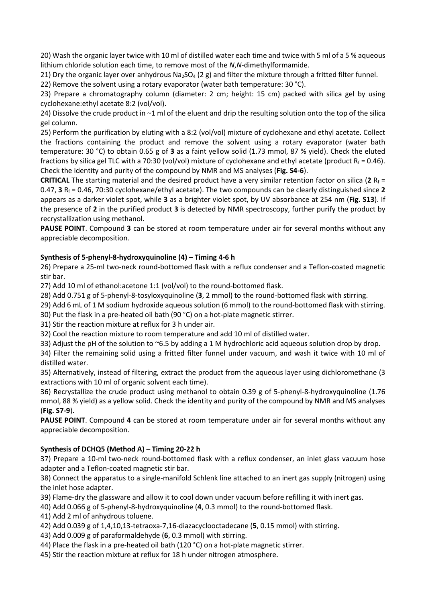20) Wash the organic layer twice with 10 ml of distilled water each time and twice with 5 ml of a 5 % aqueous lithium chloride solution each time, to remove most of the *N*,*N*-dimethylformamide.

21) Dry the organic layer over anhydrous  $Na<sub>2</sub>SO<sub>4</sub>$  (2 g) and filter the mixture through a fritted filter funnel.

22) Remove the solvent using a rotary evaporator (water bath temperature:  $30^{\circ}$ C).

23) Prepare a chromatography column (diameter: 2 cm; height: 15 cm) packed with silica gel by using cyclohexane:ethyl acetate 8:2 (vol/vol).

24) Dissolve the crude product in ~1 ml of the eluent and drip the resulting solution onto the top of the silica gel column.

25) Perform the purification by eluting with a 8:2 (vol/vol) mixture of cyclohexane and ethyl acetate. Collect the fractions containing the product and remove the solvent using a rotary evaporator (water bath temperature: 30 °C) to obtain 0.65 g of **3** as a faint yellow solid (1.73 mmol, 87 % yield). Check the eluted fractions by silica gel TLC with a 70:30 (vol/vol) mixture of cyclohexane and ethyl acetate (product  $R_f = 0.46$ ). Check the identity and purity of the compound by NMR and MS analyses (**Fig. S4-6**).

**CRITICAL** The starting material and the desired product have a very similar retention factor on silica (2  $R_f$  = 0.47, **3** Rf = 0.46, 70:30 cyclohexane/ethyl acetate). The two compounds can be clearly distinguished since **2** appears as a darker violet spot, while **3** as a brighter violet spot, by UV absorbance at 254 nm (**Fig. S13**). If the presence of **2** in the purified product **3** is detected by NMR spectroscopy, further purify the product by recrystallization using methanol.

**PAUSE POINT**. Compound **3** can be stored at room temperature under air for several months without any appreciable decomposition.

# **Synthesis of 5-phenyl-8-hydroxyquinoline (4) – Timing 4-6 h**

26) Prepare a 25-ml two-neck round-bottomed flask with a reflux condenser and a Teflon-coated magnetic stir bar.

27) Add 10 ml of ethanol:acetone 1:1 (vol/vol) to the round-bottomed flask.

28) Add 0.751 g of 5-phenyl-8-tosyloxyquinoline (**3**, 2 mmol) to the round-bottomed flask with stirring.

29) Add 6 mL of 1 M sodium hydroxide aqueous solution (6 mmol) to the round-bottomed flask with stirring.

30) Put the flask in a pre-heated oil bath (90 °C) on a hot-plate magnetic stirrer.

31) Stir the reaction mixture at reflux for 3 h under air.

32) Cool the reaction mixture to room temperature and add 10 ml of distilled water.

33) Adjust the pH of the solution to ~6.5 by adding a 1 M hydrochloric acid aqueous solution drop by drop.

34) Filter the remaining solid using a fritted filter funnel under vacuum, and wash it twice with 10 ml of distilled water.

35) Alternatively, instead of filtering, extract the product from the aqueous layer using dichloromethane (3 extractions with 10 ml of organic solvent each time).

36) Recrystallize the crude product using methanol to obtain 0.39 g of 5-phenyl-8-hydroxyquinoline (1.76 mmol, 88 % yield) as a yellow solid. Check the identity and purity of the compound by NMR and MS analyses (**Fig. S7-9**).

**PAUSE POINT**. Compound **4** can be stored at room temperature under air for several months without any appreciable decomposition.

## **Synthesis of DCHQ5 (Method A) – Timing 20-22 h**

37) Prepare a 10-ml two-neck round-bottomed flask with a reflux condenser, an inlet glass vacuum hose adapter and a Teflon-coated magnetic stir bar.

38) Connect the apparatus to a single-manifold Schlenk line attached to an inert gas supply (nitrogen) using the inlet hose adapter.

39) Flame-dry the glassware and allow it to cool down under vacuum before refilling it with inert gas.

40) Add 0.066 g of 5-phenyl-8-hydroxyquinoline (**4**, 0.3 mmol) to the round-bottomed flask.

41) Add 2 ml of anhydrous toluene.

- 42) Add 0.039 g of 1,4,10,13-tetraoxa-7,16-diazacyclooctadecane (**5**, 0.15 mmol) with stirring.
- 43) Add 0.009 g of paraformaldehyde (**6**, 0.3 mmol) with stirring.
- 44) Place the flask in a pre-heated oil bath (120 °C) on a hot-plate magnetic stirrer.
- 45) Stir the reaction mixture at reflux for 18 h under nitrogen atmosphere.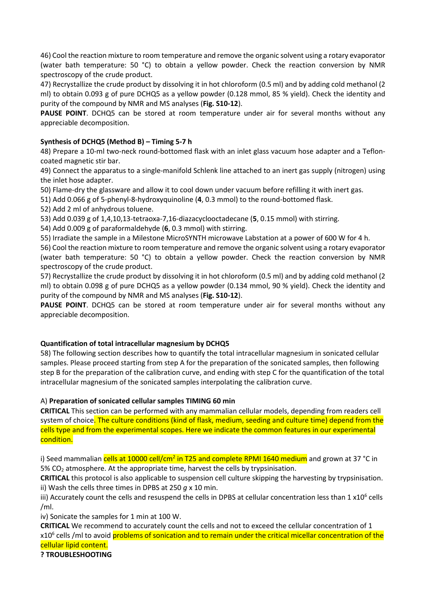46) Cool the reaction mixture to room temperature and remove the organic solvent using a rotary evaporator (water bath temperature: 50 °C) to obtain a yellow powder. Check the reaction conversion by NMR spectroscopy of the crude product.

47) Recrystallize the crude product by dissolving it in hot chloroform (0.5 ml) and by adding cold methanol (2 ml) to obtain 0.093 g of pure DCHQ5 as a yellow powder (0.128 mmol, 85 % yield). Check the identity and purity of the compound by NMR and MS analyses (**Fig. S10-12**).

PAUSE POINT. DCHQ5 can be stored at room temperature under air for several months without any appreciable decomposition.

## **Synthesis of DCHQ5 (Method B) – Timing 5-7 h**

48) Prepare a 10-ml two-neck round-bottomed flask with an inlet glass vacuum hose adapter and a Tefloncoated magnetic stir bar.

49) Connect the apparatus to a single-manifold Schlenk line attached to an inert gas supply (nitrogen) using the inlet hose adapter.

50) Flame-dry the glassware and allow it to cool down under vacuum before refilling it with inert gas.

51) Add 0.066 g of 5-phenyl-8-hydroxyquinoline (**4**, 0.3 mmol) to the round-bottomed flask.

52) Add 2 ml of anhydrous toluene.

53) Add 0.039 g of 1,4,10,13-tetraoxa-7,16-diazacyclooctadecane (**5**, 0.15 mmol) with stirring.

54) Add 0.009 g of paraformaldehyde (**6**, 0.3 mmol) with stirring.

55) Irradiate the sample in a Milestone MicroSYNTH microwave Labstation at a power of 600 W for 4 h.

56) Cool the reaction mixture to room temperature and remove the organic solvent using a rotary evaporator (water bath temperature: 50 °C) to obtain a yellow powder. Check the reaction conversion by NMR spectroscopy of the crude product.

57) Recrystallize the crude product by dissolving it in hot chloroform (0.5 ml) and by adding cold methanol (2 ml) to obtain 0.098 g of pure DCHQ5 as a yellow powder (0.134 mmol, 90 % yield). Check the identity and purity of the compound by NMR and MS analyses (**Fig. S10-12**).

PAUSE POINT. DCHQ5 can be stored at room temperature under air for several months without any appreciable decomposition.

## **Quantification of total intracellular magnesium by DCHQ5**

58) The following section describes how to quantify the total intracellular magnesium in sonicated cellular samples. Please proceed starting from step A for the preparation of the sonicated samples, then following step B for the preparation of the calibration curve, and ending with step C for the quantification of the total intracellular magnesium of the sonicated samples interpolating the calibration curve.

# A) **Preparation of sonicated cellular samples TIMING 60 min**

**CRITICAL** This section can be performed with any mammalian cellular models, depending from readers cell system of choice. The culture conditions (kind of flask, medium, seeding and culture time) depend from the cells type and from the experimental scopes. Here we indicate the common features in our experimental condition.

i) Seed mammalian cells at 10000 cell/cm<sup>2</sup> in T25 and complete RPMI 1640 medium and grown at 37 °C in  $5\%$  CO<sub>2</sub> atmosphere. At the appropriate time, harvest the cells by trypsinisation.

**CRITICAL** this protocol is also applicable to suspension cell culture skipping the harvesting by trypsinisation. ii) Wash the cells three times in DPBS at 250 *g* x 10 min.

iii) Accurately count the cells and resuspend the cells in DPBS at cellular concentration less than  $1 \times 10^6$  cells /ml.

iv) Sonicate the samples for 1 min at 100 W.

**CRITICAL** We recommend to accurately count the cells and not to exceed the cellular concentration of 1 x10<sup>6</sup> cells /ml to avoid problems of sonication and to remain under the critical micellar concentration of the cellular lipid content.

**? TROUBLESHOOTING**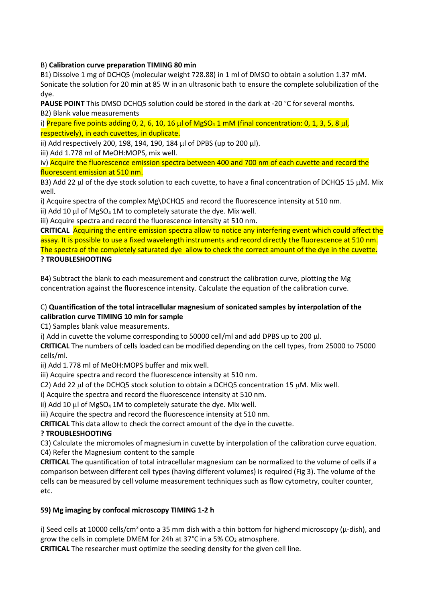B) **Calibration curve preparation TIMING 80 min**

B1) Dissolve 1 mg of DCHQ5 (molecular weight 728.88) in 1 ml of DMSO to obtain a solution 1.37 mM. Sonicate the solution for 20 min at 85 W in an ultrasonic bath to ensure the complete solubilization of the dye.

**PAUSE POINT** This DMSO DCHQ5 solution could be stored in the dark at -20 °C for several months. B2) Blank value measurements

i) Prepare five points adding 0, 2, 6, 10, 16 µl of MgSO<sub>4</sub> 1 mM (final concentration: 0, 1, 3, 5, 8 µl, respectively), in each cuvettes, in duplicate.

ii) Add respectively 200, 198, 194, 190, 184 µl of DPBS (up to 200 µl).

iii) Add 1.778 ml of MeOH:MOPS, mix well.

iv) Acquire the fluorescence emission spectra between 400 and 700 nm of each cuvette and record the fluorescent emission at 510 nm.

B3) Add 22 µl of the dye stock solution to each cuvette, to have a final concentration of DCHQ5 15 µΜ. Mix well.

i) Acquire spectra of the complex Mg\DCHQ5 and record the fluorescence intensity at 510 nm.

ii) Add 10  $\mu$ l of MgSO<sub>4</sub> 1M to completely saturate the dye. Mix well.

iii) Acquire spectra and record the fluorescence intensity at 510 nm.

**CRITICAL** Acquiring the entire emission spectra allow to notice any interfering event which could affect the assay. It is possible to use a fixed wavelength instruments and record directly the fluorescence at 510 nm. The spectra of the completely saturated dye allow to check the correct amount of the dye in the cuvette. **? TROUBLESHOOTING**

B4) Subtract the blank to each measurement and construct the calibration curve, plotting the Mg concentration against the fluorescence intensity. Calculate the equation of the calibration curve.

## C) **Quantification of the total intracellular magnesium of sonicated samples by interpolation of the calibration curve TIMING 10 min for sample**

C1) Samples blank value measurements.

i) Add in cuvette the volume corresponding to 50000 cell/ml and add DPBS up to 200 µl.

**CRITICAL** The numbers of cells loaded can be modified depending on the cell types, from 25000 to 75000 cells/ml.

ii) Add 1.778 ml of MeOH:MOPS buffer and mix well.

iii) Acquire spectra and record the fluorescence intensity at 510 nm.

C2) Add 22  $\mu$  of the DCHQ5 stock solution to obtain a DCHQ5 concentration 15  $\mu$ M. Mix well.

i) Acquire the spectra and record the fluorescence intensity at 510 nm.

ii) Add 10  $\mu$  of MgSO<sub>4</sub> 1M to completely saturate the dye. Mix well.

iii) Acquire the spectra and record the fluorescence intensity at 510 nm.

**CRITICAL** This data allow to check the correct amount of the dye in the cuvette.

# **? TROUBLESHOOTING**

C3) Calculate the micromoles of magnesium in cuvette by interpolation of the calibration curve equation. C4) Refer the Magnesium content to the sample

**CRITICAL** The quantification of total intracellular magnesium can be normalized to the volume of cells if a comparison between different cell types (having different volumes) is required (Fig 3). The volume of the cells can be measured by cell volume measurement techniques such as flow cytometry, coulter counter, etc.

# **59) Mg imaging by confocal microscopy TIMING 1-2 h**

i) Seed cells at 10000 cells/cm<sup>2</sup> onto a 35 mm dish with a thin bottom for highend microscopy ( $\mu$ -dish), and grow the cells in complete DMEM for 24h at 37°C in a 5%  $CO<sub>2</sub>$  atmosphere.

**CRITICAL** The researcher must optimize the seeding density for the given cell line.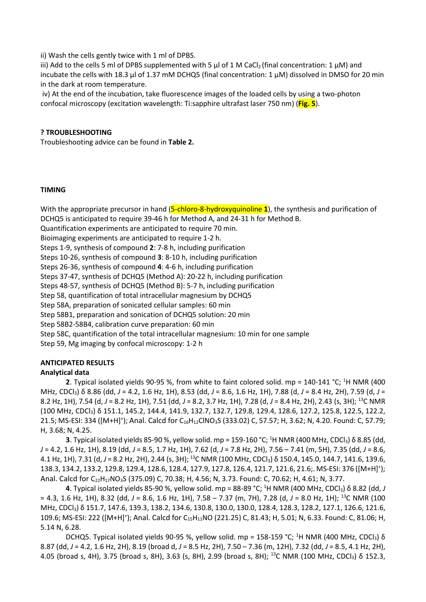ii) Wash the cells gently twice with 1 ml of DPBS.

iii) Add to the cells 5 ml of DPBS supplemented with 5  $\mu$ l of 1 M CaCl<sub>2</sub> (final concentration: 1  $\mu$ M) and incubate the cells with 18.3  $\mu$ l of 1.37 mM DCHQ5 (final concentration: 1  $\mu$ M) dissolved in DMSO for 20 min in the dark at room temperature.

iv) At the end of the incubation, take fluorescence images of the loaded cells by using a two-photon confocal microscopy (excitation wavelength: Ti:sapphire ultrafast laser 750 nm) (**Fig. 5**).

#### **? TROUBLESHOOTING**

Troubleshooting advice can be found in **Table 2.**

#### **TIMING**

With the appropriate precursor in hand (5-chloro-8-hydroxyquinoline 1), the synthesis and purification of DCHQ5 is anticipated to require 39-46 h for Method A, and 24-31 h for Method B. Quantification experiments are anticipated to require 70 min. Bioimaging experiments are anticipated to require 1-2 h. Steps 1-9, synthesis of compound **2**: 7-8 h, including purification Steps 10-26, synthesis of compound **3**: 8-10 h, including purification Steps 26-36, synthesis of compound **4**: 4-6 h, including purification Steps 37-47, synthesis of DCHQ5 (Method A): 20-22 h, including purification Steps 48-57, synthesis of DCHQ5 (Method B): 5-7 h, including purification Step 58, quantification of total intracellular magnesium by DCHQ5 Step 58A, preparation of sonicated cellular samples: 60 min Step 58B1, preparation and sonication of DCHQ5 solution: 20 min Step 58B2-58B4, calibration curve preparation: 60 min Step 58C, quantification of the total intracellular magnesium: 10 min for one sample Step 59, Mg imaging by confocal microscopy: 1-2 h

# **ANTICIPATED RESULTS**

## **Analytical data**

**2**. Typical isolated yields 90-95 %, from white to faint colored solid. mp = 140-141 °C; <sup>1</sup>H NMR (400 MHz, CDCl3) δ 8.86 (dd, *J* = 4.2, 1.6 Hz, 1H), 8.53 (dd, *J* = 8.6, 1.6 Hz, 1H), 7.88 (d, *J* = 8.4 Hz, 2H), 7.59 (d, *J* = 8.2 Hz, 1H), 7.54 (d, *J* = 8.2 Hz, 1H), 7.51 (dd, *J* = 8.2, 3.7 Hz, 1H), 7.28 (d, *J* = 8.4 Hz, 2H), 2.43 (s, 3H); 13C NMR (100 MHz, CDCl3) δ 151.1, 145.2, 144.4, 141.9, 132.7, 132.7, 129.8, 129.4, 128.6, 127.2, 125.8, 122.5, 122.2, 21.5; MS-ESI: 334 ([M+H]<sup>+</sup>); Anal. Calcd for C<sub>16</sub>H<sub>12</sub>ClNO<sub>3</sub>S (333.02) C, 57.57; H, 3.62; N, 4.20. Found: C, 57.79; H, 3.68; N, 4.25.

**3**. Typical isolated yields 85-90 %, yellow solid. mp = 159-160 °C; <sup>1</sup>H NMR (400 MHz, CDCl<sub>3</sub>) δ 8.85 (dd, *J* = 4.2, 1.6 Hz, 1H), 8.19 (dd, *J* = 8.5, 1.7 Hz, 1H), 7.62 (d, *J* = 7.8 Hz, 2H), 7.56 – 7.41 (m, 5H), 7.35 (dd, *J* = 8.6, 4.1 Hz, 1H), 7.31 (d, *J* = 8.2 Hz, 2H), 2.44 (s, 3H); 13C NMR (100 MHz, CDCl3) δ 150.4, 145.0, 144.7, 141.6, 139.6, 138.3, 134.2, 133.2, 129.8, 129.4, 128.6, 128.4, 127.9, 127.8, 126.4, 121.7, 121.6, 21.6;. MS-ESI: 376 ([M+H]<sup>+</sup>); Anal. Calcd for C<sub>22</sub>H<sub>17</sub>NO<sub>3</sub>S (375.09) C, 70.38; H, 4.56; N, 3.73. Found: C, 70.62; H, 4.61; N, 3.77.

**4**. Typical isolated yields 85-90 %, yellow solid. mp = 88-89 °C; <sup>1</sup>H NMR (400 MHz, CDCl<sub>3</sub>) δ 8.82 (dd, *J* = 4.3, 1.6 Hz, 1H), 8.32 (dd, *J* = 8.6, 1.6 Hz, 1H), 7.58 – 7.37 (m, 7H), 7.28 (d, *J* = 8.0 Hz, 1H); 13C NMR (100 MHz, CDCl3) δ 151.7, 147.6, 139.3, 138.2, 134.6, 130.8, 130.0, 130.0, 128.4, 128.3, 128.2, 127.1, 126.6, 121.6, 109.6; MS-ESI: 222 ([M+H]<sup>+</sup>); Anal. Calcd for C<sub>15</sub>H<sub>11</sub>NO (221.25) C, 81.43; H, 5.01; N, 6.33. Found: C, 81.06; H, 5.14 N, 6.28.

DCHQ5. Typical isolated yields 90-95 %, yellow solid. mp = 158-159 °C; <sup>1</sup>H NMR (400 MHz, CDCl<sub>3</sub>)  $\delta$ 8.87 (dd, *J* = 4.2, 1.6 Hz, 2H), 8.19 (broad d, *J* = 8.5 Hz, 2H), 7.50 – 7.36 (m, 12H), 7.32 (dd, *J* = 8.5, 4.1 Hz, 2H), 4.05 (broad s, 4H), 3.75 (broad s, 8H), 3.63 (s, 8H), 2.99 (broad s, 8H); 13C NMR (100 MHz, CDCl3) δ 152.3,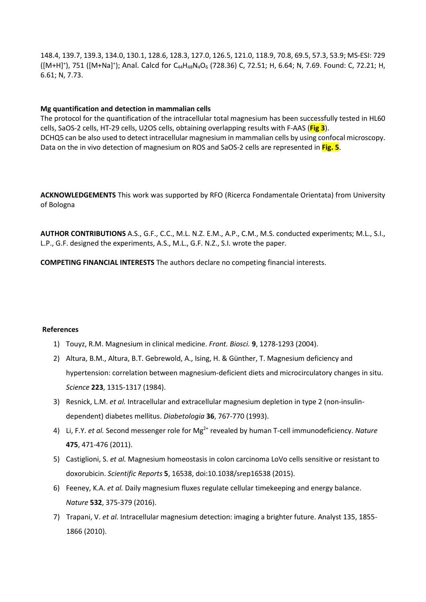148.4, 139.7, 139.3, 134.0, 130.1, 128.6, 128.3, 127.0, 126.5, 121.0, 118.9, 70.8, 69.5, 57.3, 53.9; MS-ESI: 729 ([M+H]<sup>+</sup>), 751 ([M+Na]<sup>+</sup>); Anal. Calcd for C<sub>44</sub>H<sub>48</sub>N<sub>4</sub>O<sub>6</sub> (728.36) C, 72.51; H, 6.64; N, 7.69. Found: C, 72.21; H, 6.61; N, 7.73.

#### **Mg quantification and detection in mammalian cells**

The protocol for the quantification of the intracellular total magnesium has been successfully tested in HL60 cells, SaOS-2 cells, HT-29 cells, U2OS cells, obtaining overlapping results with F-AAS (**Fig 3**). DCHQ5 can be also used to detect intracellular magnesium in mammalian cells by using confocal microscopy. Data on the in vivo detection of magnesium on ROS and SaOS-2 cells are represented in **Fig. 5**.

**ACKNOWLEDGEMENTS** This work was supported by RFO (Ricerca Fondamentale Orientata) from University of Bologna

**AUTHOR CONTRIBUTIONS** A.S., G.F., C.C., M.L. N.Z. E.M., A.P., C.M., M.S. conducted experiments; M.L., S.I., L.P., G.F. designed the experiments, A.S., M.L., G.F. N.Z., S.I. wrote the paper.

**COMPETING FINANCIAL INTERESTS** The authors declare no competing financial interests.

#### **References**

- 1) Touyz, R.M. Magnesium in clinical medicine. *Front. Biosci.* **9**, 1278-1293 (2004).
- 2) Altura, B.M., Altura, B.T. Gebrewold, A., Ising, H. & Günther, T. Magnesium deficiency and hypertension: correlation between magnesium-deficient diets and microcirculatory changes in situ. *Science* **223**, 1315-1317 (1984).
- 3) Resnick, L.M. *et al.* Intracellular and extracellular magnesium depletion in type 2 (non-insulindependent) diabetes mellitus. *Diabetologia* **36**, 767-770 (1993).
- 4) [Li, F.Y.](http://www.ncbi.nlm.nih.gov/pubmed/?term=Li%20FY%5BAuthor%5D&cauthor=true&cauthor_uid=21796205) *et al.* Second messenger role for Mg2+ revealed by human T-cell immunodeficiency. *Nature* **475**, 471-476 (2011).
- 5) Castiglioni, S. *et al.* Magnesium homeostasis in colon carcinoma LoVo cells sensitive or resistant to doxorubicin. *Scientific Reports* **5**, 16538, doi:10.1038/srep16538 (2015).
- 6) Feeney, K.A. *et al.* Daily magnesium fluxes regulate cellular timekeeping and energy balance. *Nature* **532**, 375-379 (2016).
- 7) Trapani, V. *et al.* Intracellular magnesium detection: imaging a brighter future. Analyst 135, 1855- 1866 (2010).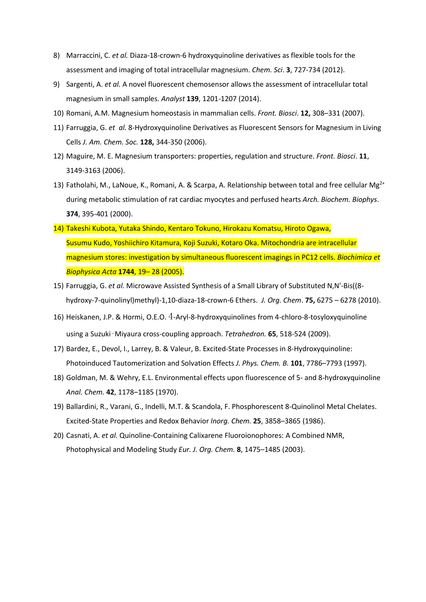- 8) Marraccini, C. *et al.* Diaza-18-crown-6 hydroxyquinoline derivatives as flexible tools for the assessment and imaging of total intracellular magnesium. *Chem. Sci*. **3**, 727-734 (2012).
- 9) Sargenti, A. *et al.* [A novel fluorescent chemosensor allows the assessment of intracellular total](http://www.ncbi.nlm.nih.gov/pubmed/24459684)  [magnesium in small samples.](http://www.ncbi.nlm.nih.gov/pubmed/24459684) *Analyst* **139**, 1201-1207 (2014).
- 10) Romani, A.M. Magnesium homeostasis in mammalian cells. *Front. Biosci*. **12,** 308–331 (2007).
- 11) Farruggia, G. *et al.* 8-Hydroxyquinoline Derivatives as Fluorescent Sensors for Magnesium in Living Cells *J. Am. Chem. Soc.* **128,** 344-350 (2006).
- 12) Maguire, M. E. Magnesium transporters: properties, regulation and structure. *Front. Biosci*. **11**, 3149-3163 (2006).
- 13) Fatholahi, M., LaNoue, K., Romani, A. & Scarpa, A. Relationship between total and free cellular Mg<sup>2+</sup> during metabolic stimulation of rat cardiac myocytes and perfused hearts *Arch. Biochem. Biophys*. **374**, 395-401 (2000).
- 14) Takeshi Kubota, Yutaka Shindo, Kentaro Tokuno, Hirokazu Komatsu, Hiroto Ogawa, Susumu Kudo, Yoshiichiro Kitamura, Koji Suzuki, Kotaro Oka. Mitochondria are intracellular magnesium stores: investigation by simultaneous fluorescent imagings in PC12 cells. *Biochimica et Biophysica Acta* **1744**, 19– 28 (2005).
- 15) Farruggia, G. *et al.* Microwave Assisted Synthesis of a Small Library of Substituted N,N'-Bis((8 hydroxy-7-quinolinyl)methyl)-1,10-diaza-18-crown-6 Ethers. *J. Org. Chem*. **75,** 6275 – 6278 (2010).
- 16) Heiskanen, J.P. & Hormi, O.E.O. 4-Aryl-8-hydroxyquinolines from 4-chloro-8-tosyloxyquinoline using a Suzuki–Miyaura cross-coupling approach. *Tetrahedron.* **65**, 518-524 (2009).
- 17) Bardez, E., Devol, I., Larrey, B. & Valeur, B. Excited-State Processes in 8-Hydroxyquinoline:  Photoinduced Tautomerization and Solvation Effects *J. Phys. Chem. B.* **101**, 7786–7793 (1997).
- 18) Goldman, M. & Wehry, E.L. Environmental effects upon fluorescence of 5- and 8-hydroxyquinoline *Anal. Chem.* **42**, 1178–1185 (1970).
- 19) Ballardini, R., Varani, G., Indelli, M.T. & Scandola, F. Phosphorescent 8-Quinolinol Metal Chelates. Excited-State Properties and Redox Behavior *Inorg. Chem.* **25**, 3858–3865 (1986).
- 20) Casnati, A. *et al.* Quinoline-Containing Calixarene Fluoroionophores: A Combined NMR, Photophysical and Modeling Study *Eur. J. Org. Chem.* **8**, 1475–1485 (2003).